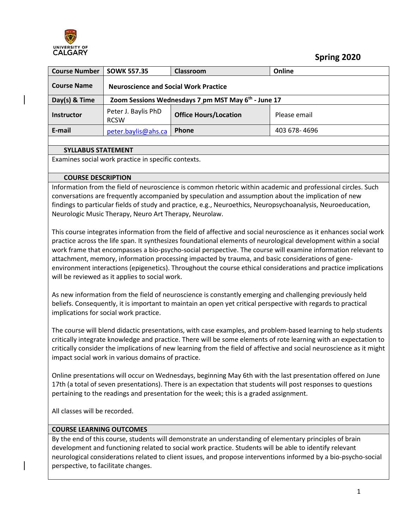

 **Spring 2020**

| <b>Course Number</b> | <b>SOWK 557.35</b>                           | Classroom                                                       | Online       |
|----------------------|----------------------------------------------|-----------------------------------------------------------------|--------------|
| <b>Course Name</b>   | <b>Neuroscience and Social Work Practice</b> |                                                                 |              |
| Day(s) & Time        |                                              | Zoom Sessions Wednesdays 7 pm MST May 6 <sup>th</sup> - June 17 |              |
| <b>Instructor</b>    | Peter J. Baylis PhD<br><b>RCSW</b>           | <b>Office Hours/Location</b>                                    | Please email |
| E-mail               | peter.baylis@ahs.ca                          | Phone                                                           | 403 678-4696 |
|                      |                                              |                                                                 |              |

#### **SYLLABUS STATEMENT**

Examines social work practice in specific contexts.

#### **COURSE DESCRIPTION**

Information from the field of neuroscience is common rhetoric within academic and professional circles. Such conversations are frequently accompanied by speculation and assumption about the implication of new findings to particular fields of study and practice, e.g., Neuroethics, Neuropsychoanalysis, Neuroeducation, Neurologic Music Therapy, Neuro Art Therapy, Neurolaw.

This course integrates information from the field of affective and social neuroscience as it enhances social work practice across the life span. It synthesizes foundational elements of neurological development within a social work frame that encompasses a bio-psycho-social perspective. The course will examine information relevant to attachment, memory, information processing impacted by trauma, and basic considerations of geneenvironment interactions (epigenetics). Throughout the course ethical considerations and practice implications will be reviewed as it applies to social work.

As new information from the field of neuroscience is constantly emerging and challenging previously held beliefs. Consequently, it is important to maintain an open yet critical perspective with regards to practical implications for social work practice.

The course will blend didactic presentations, with case examples, and problem-based learning to help students critically integrate knowledge and practice. There will be some elements of rote learning with an expectation to critically consider the implications of new learning from the field of affective and social neuroscience as it might impact social work in various domains of practice.

Online presentations will occur on Wednesdays, beginning May 6th with the last presentation offered on June 17th (a total of seven presentations). There is an expectation that students will post responses to questions pertaining to the readings and presentation for the week; this is a graded assignment.

All classes will be recorded.

#### **COURSE LEARNING OUTCOMES**

By the end of this course, students will demonstrate an understanding of elementary principles of brain development and functioning related to social work practice. Students will be able to identify relevant neurological considerations related to client issues, and propose interventions informed by a bio-psycho-social perspective, to facilitate changes.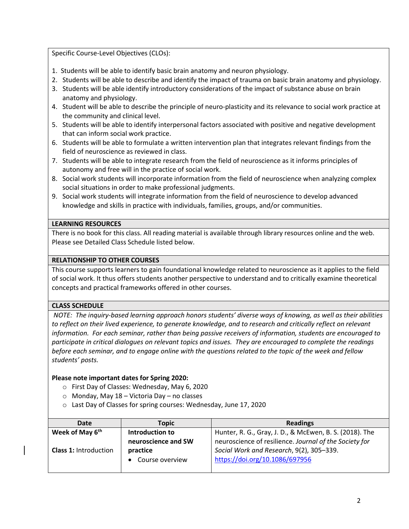Specific Course-Level Objectives (CLOs):

- 1. Students will be able to identify basic brain anatomy and neuron physiology.
- 2. Students will be able to describe and identify the impact of trauma on basic brain anatomy and physiology.
- 3. Students will be able identify introductory considerations of the impact of substance abuse on brain anatomy and physiology.
- 4. Student will be able to describe the principle of neuro-plasticity and its relevance to social work practice at the community and clinical level.
- 5. Students will be able to identify interpersonal factors associated with positive and negative development that can inform social work practice.
- 6. Students will be able to formulate a written intervention plan that integrates relevant findings from the field of neuroscience as reviewed in class.
- 7. Students will be able to integrate research from the field of neuroscience as it informs principles of autonomy and free will in the practice of social work.
- 8. Social work students will incorporate information from the field of neuroscience when analyzing complex social situations in order to make professional judgments.
- 9. Social work students will integrate information from the field of neuroscience to develop advanced knowledge and skills in practice with individuals, families, groups, and/or communities.

#### **LEARNING RESOURCES**

There is no book for this class. All reading material is available through library resources online and the web. Please see Detailed Class Schedule listed below.

#### **RELATIONSHIP TO OTHER COURSES**

This course supports learners to gain foundational knowledge related to neuroscience as it applies to the field of social work. It thus offers students another perspective to understand and to critically examine theoretical concepts and practical frameworks offered in other courses.

# **CLASS SCHEDULE**

*NOTE: The inquiry-based learning approach honors students' diverse ways of knowing, as well as their abilities*  to reflect on their lived experience, to generate knowledge, and to research and critically reflect on relevant *information. For each seminar, rather than being passive receivers of information, students are encouraged to participate in critical dialogues on relevant topics and issues. They are encouraged to complete the readings before each seminar, and to engage online with the questions related to the topic of the week and fellow students' posts.* 

# **Please note important dates for Spring 2020:**

- o First Day of Classes: Wednesday, May 6, 2020
- o Monday, May 18 Victoria Day no classes
- o Last Day of Classes for spring courses: Wednesday, June 17, 2020

| Date                         | <b>Topic</b>        | <b>Readings</b>                                         |
|------------------------------|---------------------|---------------------------------------------------------|
| Week of May 6 <sup>th</sup>  | Introduction to     | Hunter, R. G., Gray, J. D., & McEwen, B. S. (2018). The |
|                              | neuroscience and SW | neuroscience of resilience. Journal of the Society for  |
| <b>Class 1: Introduction</b> | practice            | Social Work and Research, 9(2), 305-339.                |
|                              | Course overview     | https://doi.org/10.1086/697956                          |
|                              |                     |                                                         |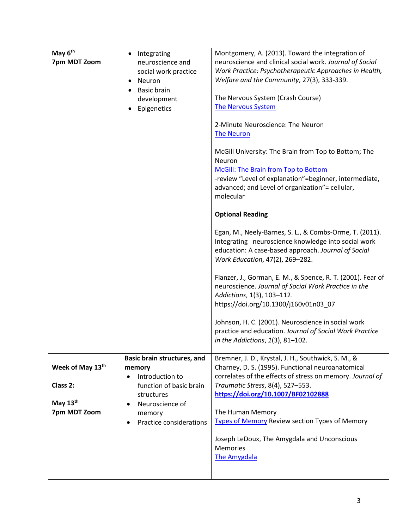| May 6 <sup>th</sup> |                                              | Montgomery, A. (2013). Toward the integration of                                   |
|---------------------|----------------------------------------------|------------------------------------------------------------------------------------|
| 7pm MDT Zoom        | Integrating<br>$\bullet$<br>neuroscience and | neuroscience and clinical social work. Journal of Social                           |
|                     |                                              | Work Practice: Psychotherapeutic Approaches in Health,                             |
|                     | social work practice                         | Welfare and the Community, 27(3), 333-339.                                         |
|                     | Neuron<br>$\bullet$                          |                                                                                    |
|                     | <b>Basic brain</b>                           | The Nervous System (Crash Course)                                                  |
|                     | development                                  | <b>The Nervous System</b>                                                          |
|                     | Epigenetics                                  |                                                                                    |
|                     |                                              | 2-Minute Neuroscience: The Neuron                                                  |
|                     |                                              | <b>The Neuron</b>                                                                  |
|                     |                                              |                                                                                    |
|                     |                                              | McGill University: The Brain from Top to Bottom; The                               |
|                     |                                              | Neuron                                                                             |
|                     |                                              | McGill: The Brain from Top to Bottom                                               |
|                     |                                              | -review "Level of explanation"=beginner, intermediate,                             |
|                     |                                              | advanced; and Level of organization" = cellular,                                   |
|                     |                                              | molecular                                                                          |
|                     |                                              |                                                                                    |
|                     |                                              | <b>Optional Reading</b>                                                            |
|                     |                                              | Egan, M., Neely-Barnes, S. L., & Combs-Orme, T. (2011).                            |
|                     |                                              | Integrating neuroscience knowledge into social work                                |
|                     |                                              | education: A case-based approach. Journal of Social                                |
|                     |                                              | Work Education, 47(2), 269-282.                                                    |
|                     |                                              |                                                                                    |
|                     |                                              | Flanzer, J., Gorman, E. M., & Spence, R. T. (2001). Fear of                        |
|                     |                                              | neuroscience. Journal of Social Work Practice in the<br>Addictions, 1(3), 103-112. |
|                     |                                              | https://doi.org/10.1300/j160v01n03_07                                              |
|                     |                                              |                                                                                    |
|                     |                                              | Johnson, H. C. (2001). Neuroscience in social work                                 |
|                     |                                              | practice and education. Journal of Social Work Practice                            |
|                     |                                              | in the Addictions, $1(3)$ , 81-102.                                                |
|                     |                                              |                                                                                    |
|                     | Basic brain structures, and                  | Bremner, J. D., Krystal, J. H., Southwick, S. M., &                                |
| Week of May 13th    | memory                                       | Charney, D. S. (1995). Functional neuroanatomical                                  |
|                     | Introduction to<br>$\bullet$                 | correlates of the effects of stress on memory. Journal of                          |
| Class 2:            | function of basic brain                      | Traumatic Stress, 8(4), 527-553.                                                   |
|                     | structures                                   | https://doi.org/10.1007/BF02102888                                                 |
| May $13th$          | Neuroscience of<br>$\bullet$                 |                                                                                    |
| 7pm MDT Zoom        | memory                                       | The Human Memory                                                                   |
|                     | Practice considerations<br>٠                 | Types of Memory Review section Types of Memory                                     |
|                     |                                              | Joseph LeDoux, The Amygdala and Unconscious                                        |
|                     |                                              | <b>Memories</b>                                                                    |
|                     |                                              | <b>The Amygdala</b>                                                                |
|                     |                                              |                                                                                    |
|                     |                                              |                                                                                    |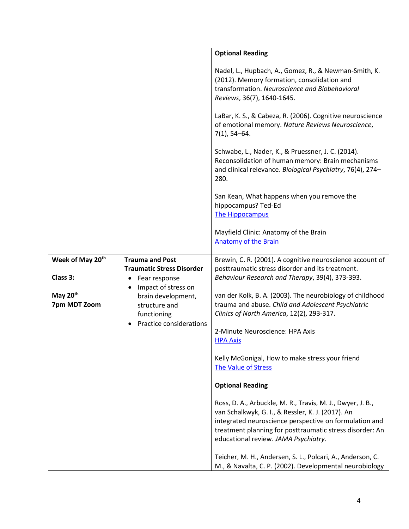|                              |                                                                             | <b>Optional Reading</b>                                                                                                                                                                                                                                                       |
|------------------------------|-----------------------------------------------------------------------------|-------------------------------------------------------------------------------------------------------------------------------------------------------------------------------------------------------------------------------------------------------------------------------|
|                              |                                                                             |                                                                                                                                                                                                                                                                               |
|                              |                                                                             | Nadel, L., Hupbach, A., Gomez, R., & Newman-Smith, K.<br>(2012). Memory formation, consolidation and<br>transformation. Neuroscience and Biobehavioral<br>Reviews, 36(7), 1640-1645.                                                                                          |
|                              |                                                                             | LaBar, K. S., & Cabeza, R. (2006). Cognitive neuroscience<br>of emotional memory. Nature Reviews Neuroscience,<br>$7(1)$ , 54-64.                                                                                                                                             |
|                              |                                                                             | Schwabe, L., Nader, K., & Pruessner, J. C. (2014).<br>Reconsolidation of human memory: Brain mechanisms<br>and clinical relevance. Biological Psychiatry, 76(4), 274-<br>280.                                                                                                 |
|                              |                                                                             | San Kean, What happens when you remove the<br>hippocampus? Ted-Ed<br>The Hippocampus                                                                                                                                                                                          |
|                              |                                                                             | Mayfield Clinic: Anatomy of the Brain<br><b>Anatomy of the Brain</b>                                                                                                                                                                                                          |
| Week of May 20th<br>Class 3: | <b>Trauma and Post</b><br><b>Traumatic Stress Disorder</b><br>Fear response | Brewin, C. R. (2001). A cognitive neuroscience account of<br>posttraumatic stress disorder and its treatment.<br>Behaviour Research and Therapy, 39(4), 373-393.                                                                                                              |
| May 20th<br>7pm MDT Zoom     | Impact of stress on<br>brain development,<br>structure and<br>functioning   | van der Kolk, B. A. (2003). The neurobiology of childhood<br>trauma and abuse. Child and Adolescent Psychiatric<br>Clinics of North America, 12(2), 293-317.                                                                                                                  |
|                              | Practice considerations                                                     | 2-Minute Neuroscience: HPA Axis<br><b>HPA Axis</b>                                                                                                                                                                                                                            |
|                              |                                                                             | Kelly McGonigal, How to make stress your friend<br>The Value of Stress                                                                                                                                                                                                        |
|                              |                                                                             | <b>Optional Reading</b>                                                                                                                                                                                                                                                       |
|                              |                                                                             | Ross, D. A., Arbuckle, M. R., Travis, M. J., Dwyer, J. B.,<br>van Schalkwyk, G. I., & Ressler, K. J. (2017). An<br>integrated neuroscience perspective on formulation and<br>treatment planning for posttraumatic stress disorder: An<br>educational review. JAMA Psychiatry. |
|                              |                                                                             | Teicher, M. H., Andersen, S. L., Polcari, A., Anderson, C.<br>M., & Navalta, C. P. (2002). Developmental neurobiology                                                                                                                                                         |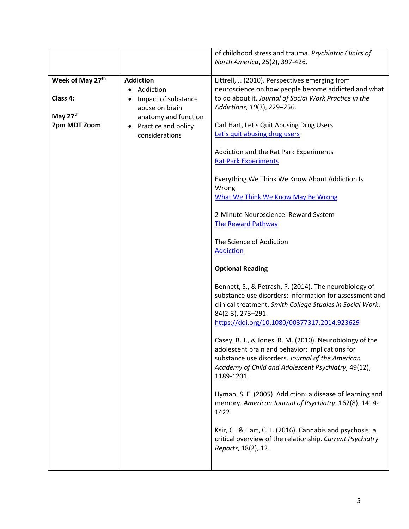|                  |                                                    | of childhood stress and trauma. Psychiatric Clinics of<br>North America, 25(2), 397-426.                                                                                                                                                            |
|------------------|----------------------------------------------------|-----------------------------------------------------------------------------------------------------------------------------------------------------------------------------------------------------------------------------------------------------|
| Week of May 27th | <b>Addiction</b>                                   | Littrell, J. (2010). Perspectives emerging from                                                                                                                                                                                                     |
| Class 4:         | Addiction<br>Impact of substance<br>abuse on brain | neuroscience on how people become addicted and what<br>to do about it. Journal of Social Work Practice in the<br>Addictions, 10(3), 229-256.                                                                                                        |
| May 27th         | anatomy and function                               |                                                                                                                                                                                                                                                     |
| 7pm MDT Zoom     | Practice and policy<br>٠<br>considerations         | Carl Hart, Let's Quit Abusing Drug Users<br>Let's quit abusing drug users                                                                                                                                                                           |
|                  |                                                    | Addiction and the Rat Park Experiments<br><b>Rat Park Experiments</b>                                                                                                                                                                               |
|                  |                                                    | Everything We Think We Know About Addiction Is<br>Wrong<br><b>What We Think We Know May Be Wrong</b>                                                                                                                                                |
|                  |                                                    | 2-Minute Neuroscience: Reward System<br><b>The Reward Pathway</b>                                                                                                                                                                                   |
|                  |                                                    | The Science of Addiction<br><b>Addiction</b>                                                                                                                                                                                                        |
|                  |                                                    | <b>Optional Reading</b>                                                                                                                                                                                                                             |
|                  |                                                    | Bennett, S., & Petrash, P. (2014). The neurobiology of<br>substance use disorders: Information for assessment and<br>clinical treatment. Smith College Studies in Social Work,<br>84(2-3), 273-291.<br>https://doi.org/10.1080/00377317.2014.923629 |
|                  |                                                    | Casey, B. J., & Jones, R. M. (2010). Neurobiology of the<br>adolescent brain and behavior: implications for<br>substance use disorders. Journal of the American<br>Academy of Child and Adolescent Psychiatry, 49(12),<br>1189-1201.                |
|                  |                                                    | Hyman, S. E. (2005). Addiction: a disease of learning and<br>memory. American Journal of Psychiatry, 162(8), 1414-<br>1422.                                                                                                                         |
|                  |                                                    | Ksir, C., & Hart, C. L. (2016). Cannabis and psychosis: a<br>critical overview of the relationship. Current Psychiatry<br>Reports, 18(2), 12.                                                                                                       |
|                  |                                                    |                                                                                                                                                                                                                                                     |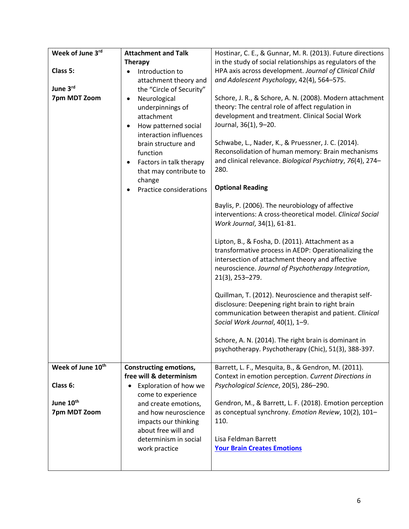| Week of June 3rd              | <b>Attachment and Talk</b>                    | Hostinar, C. E., & Gunnar, M. R. (2013). Future directions                                             |
|-------------------------------|-----------------------------------------------|--------------------------------------------------------------------------------------------------------|
|                               | <b>Therapy</b>                                | in the study of social relationships as regulators of the                                              |
| Class 5:                      | Introduction to                               | HPA axis across development. Journal of Clinical Child                                                 |
|                               | attachment theory and                         | and Adolescent Psychology, 42(4), 564-575.                                                             |
| June 3rd                      | the "Circle of Security"                      |                                                                                                        |
| 7pm MDT Zoom                  | Neurological                                  | Schore, J. R., & Schore, A. N. (2008). Modern attachment                                               |
|                               | underpinnings of                              | theory: The central role of affect regulation in                                                       |
|                               | attachment                                    | development and treatment. Clinical Social Work                                                        |
|                               | How patterned social                          | Journal, 36(1), 9-20.                                                                                  |
|                               | interaction influences<br>brain structure and | Schwabe, L., Nader, K., & Pruessner, J. C. (2014).                                                     |
|                               | function                                      | Reconsolidation of human memory: Brain mechanisms                                                      |
|                               | Factors in talk therapy                       | and clinical relevance. Biological Psychiatry, 76(4), 274-                                             |
|                               | that may contribute to                        | 280.                                                                                                   |
|                               | change                                        |                                                                                                        |
|                               | Practice considerations                       | <b>Optional Reading</b>                                                                                |
|                               |                                               | Baylis, P. (2006). The neurobiology of affective                                                       |
|                               |                                               | interventions: A cross-theoretical model. Clinical Social                                              |
|                               |                                               | Work Journal, 34(1), 61-81.                                                                            |
|                               |                                               |                                                                                                        |
|                               |                                               | Lipton, B., & Fosha, D. (2011). Attachment as a                                                        |
|                               |                                               | transformative process in AEDP: Operationalizing the                                                   |
|                               |                                               | intersection of attachment theory and affective<br>neuroscience. Journal of Psychotherapy Integration, |
|                               |                                               | 21(3), 253-279.                                                                                        |
|                               |                                               |                                                                                                        |
|                               |                                               | Quillman, T. (2012). Neuroscience and therapist self-                                                  |
|                               |                                               | disclosure: Deepening right brain to right brain                                                       |
|                               |                                               | communication between therapist and patient. Clinical                                                  |
|                               |                                               | Social Work Journal, 40(1), 1-9.                                                                       |
|                               |                                               |                                                                                                        |
|                               |                                               | Schore, A. N. (2014). The right brain is dominant in                                                   |
|                               |                                               | psychotherapy. Psychotherapy (Chic), 51(3), 388-397.                                                   |
| Week of June 10 <sup>th</sup> | <b>Constructing emotions,</b>                 | Barrett, L. F., Mesquita, B., & Gendron, M. (2011).                                                    |
|                               | free will & determinism                       | Context in emotion perception. Current Directions in                                                   |
| Class 6:                      | Exploration of how we<br>$\bullet$            | Psychological Science, 20(5), 286-290.                                                                 |
|                               | come to experience                            |                                                                                                        |
| June 10th                     | and create emotions,                          | Gendron, M., & Barrett, L. F. (2018). Emotion perception                                               |
| 7pm MDT Zoom                  | and how neuroscience                          | as conceptual synchrony. Emotion Review, 10(2), 101-                                                   |
|                               | impacts our thinking                          | 110.                                                                                                   |
|                               | about free will and                           |                                                                                                        |
|                               | determinism in social                         | Lisa Feldman Barrett<br><b>Your Brain Creates Emotions</b>                                             |
|                               | work practice                                 |                                                                                                        |
|                               |                                               |                                                                                                        |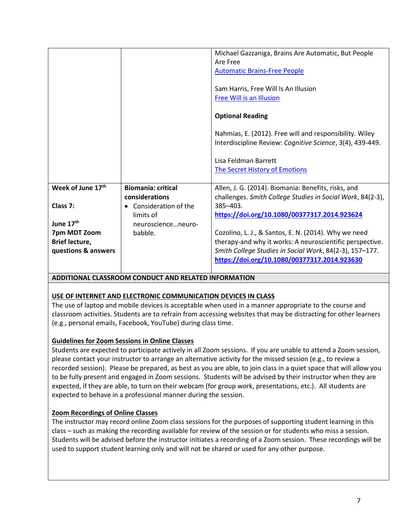|                               |                           | Michael Gazzaniga, Brains Are Automatic, But People        |
|-------------------------------|---------------------------|------------------------------------------------------------|
|                               |                           | Are Free                                                   |
|                               |                           | <b>Automatic Brains-Free People</b>                        |
|                               |                           |                                                            |
|                               |                           | Sam Harris, Free Will Is An Illusion                       |
|                               |                           | Free Will is an Illusion                                   |
|                               |                           |                                                            |
|                               |                           | <b>Optional Reading</b>                                    |
|                               |                           |                                                            |
|                               |                           | Nahmias, E. (2012). Free will and responsibility. Wiley    |
|                               |                           | Interdiscipline Review: Cognitive Science, 3(4), 439-449.  |
|                               |                           |                                                            |
|                               |                           | Lisa Feldman Barrett                                       |
|                               |                           | <b>The Secret History of Emotions</b>                      |
|                               |                           |                                                            |
| Week of June 17 <sup>th</sup> | <b>Biomania: critical</b> | Allen, J. G. (2014). Biomania: Benefits, risks, and        |
|                               | considerations            | challenges. Smith College Studies in Social Work, 84(2-3), |
| Class 7:                      | Consideration of the      | $385 - 403$ .                                              |
|                               | limits of                 | https://doi.org/10.1080/00377317.2014.923624               |
| June 17 <sup>th</sup>         | neuroscienceneuro-        |                                                            |
| 7pm MDT Zoom                  | babble.                   | Cozolino, L. J., & Santos, E. N. (2014). Why we need       |
| <b>Brief lecture,</b>         |                           | therapy-and why it works: A neuroscientific perspective.   |
| questions & answers           |                           | Smith College Studies in Social Work, 84(2-3), 157-177.    |
|                               |                           |                                                            |
|                               |                           | https://doi.org/10.1080/00377317.2014.923630               |

# **ADDITIONAL CLASSROOM CONDUCT AND RELATED INFORMATION**

# **USE OF INTERNET AND ELECTRONIC COMMUNICATION DEVICES IN CLASS**

The use of laptop and mobile devices is acceptable when used in a manner appropriate to the course and classroom activities. Students are to refrain from accessing websites that may be distracting for other learners (e.g., personal emails, Facebook, YouTube) during class time.

#### **Guidelines for Zoom Sessions in Online Classes**

Students are expected to participate actively in all Zoom sessions. If you are unable to attend a Zoom session, please contact your instructor to arrange an alternative activity for the missed session (e.g., to review a recorded session). Please be prepared, as best as you are able, to join class in a quiet space that will allow you to be fully present and engaged in Zoom sessions. Students will be advised by their instructor when they are expected, if they are able, to turn on their webcam (for group work, presentations, etc.). All students are expected to behave in a professional manner during the session.

# **Zoom Recordings of Online Classes**

The instructor may record online Zoom class sessions for the purposes of supporting student learning in this class – such as making the recording available for review of the session or for students who miss a session. Students will be advised before the instructor initiates a recording of a Zoom session. These recordings will be used to support student learning only and will not be shared or used for any other purpose.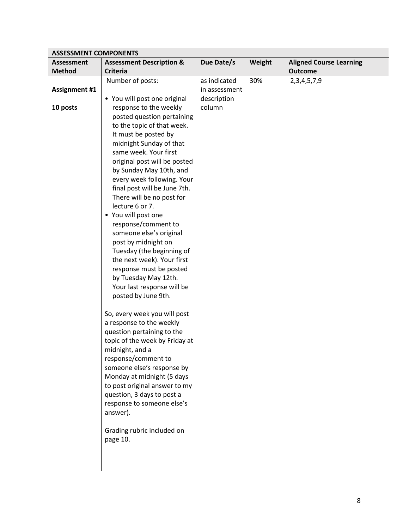| <b>ASSESSMENT COMPONENTS</b> |                                                          |               |        |                                |
|------------------------------|----------------------------------------------------------|---------------|--------|--------------------------------|
| <b>Assessment</b>            | <b>Assessment Description &amp;</b>                      | Due Date/s    | Weight | <b>Aligned Course Learning</b> |
| <b>Method</b>                | <b>Criteria</b>                                          |               |        | <b>Outcome</b>                 |
|                              | Number of posts:                                         | as indicated  | 30%    | 2, 3, 4, 5, 7, 9               |
| <b>Assignment #1</b>         |                                                          | in assessment |        |                                |
|                              | • You will post one original                             | description   |        |                                |
| 10 posts                     | response to the weekly                                   | column        |        |                                |
|                              | posted question pertaining                               |               |        |                                |
|                              | to the topic of that week.                               |               |        |                                |
|                              | It must be posted by                                     |               |        |                                |
|                              | midnight Sunday of that                                  |               |        |                                |
|                              | same week. Your first                                    |               |        |                                |
|                              | original post will be posted                             |               |        |                                |
|                              | by Sunday May 10th, and                                  |               |        |                                |
|                              | every week following. Your                               |               |        |                                |
|                              | final post will be June 7th.                             |               |        |                                |
|                              | There will be no post for                                |               |        |                                |
|                              | lecture 6 or 7.                                          |               |        |                                |
|                              | • You will post one                                      |               |        |                                |
|                              | response/comment to<br>someone else's original           |               |        |                                |
|                              | post by midnight on                                      |               |        |                                |
|                              | Tuesday (the beginning of                                |               |        |                                |
|                              | the next week). Your first                               |               |        |                                |
|                              | response must be posted                                  |               |        |                                |
|                              | by Tuesday May 12th.                                     |               |        |                                |
|                              | Your last response will be                               |               |        |                                |
|                              | posted by June 9th.                                      |               |        |                                |
|                              |                                                          |               |        |                                |
|                              | So, every week you will post                             |               |        |                                |
|                              | a response to the weekly                                 |               |        |                                |
|                              | question pertaining to the                               |               |        |                                |
|                              | topic of the week by Friday at                           |               |        |                                |
|                              | midnight, and a                                          |               |        |                                |
|                              | response/comment to                                      |               |        |                                |
|                              | someone else's response by<br>Monday at midnight (5 days |               |        |                                |
|                              | to post original answer to my                            |               |        |                                |
|                              | question, 3 days to post a                               |               |        |                                |
|                              | response to someone else's                               |               |        |                                |
|                              | answer).                                                 |               |        |                                |
|                              |                                                          |               |        |                                |
|                              | Grading rubric included on                               |               |        |                                |
|                              | page 10.                                                 |               |        |                                |
|                              |                                                          |               |        |                                |
|                              |                                                          |               |        |                                |
|                              |                                                          |               |        |                                |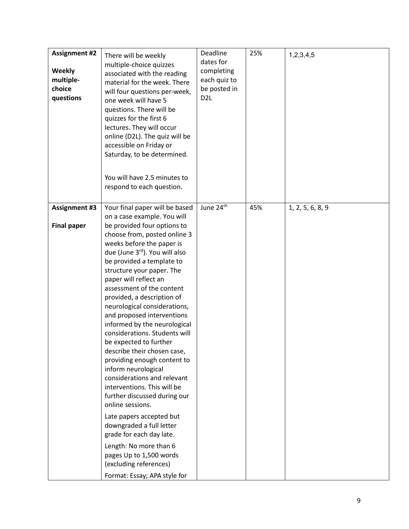| <b>Assignment #2</b><br><b>Weekly</b><br>multiple-<br>choice<br>questions | There will be weekly<br>multiple-choice quizzes<br>associated with the reading<br>material for the week. There<br>will four questions per-week,<br>one week will have 5<br>questions. There will be<br>quizzes for the first 6<br>lectures. They will occur<br>online (D2L). The quiz will be<br>accessible on Friday or<br>Saturday, to be determined.                                                                                                                                                                                                                                                                                                                                                                                                                                                                                                                   | Deadline<br>dates for<br>completing<br>each quiz to<br>be posted in<br>D <sub>2</sub> L | 25% | 1,2,3,4,5        |
|---------------------------------------------------------------------------|---------------------------------------------------------------------------------------------------------------------------------------------------------------------------------------------------------------------------------------------------------------------------------------------------------------------------------------------------------------------------------------------------------------------------------------------------------------------------------------------------------------------------------------------------------------------------------------------------------------------------------------------------------------------------------------------------------------------------------------------------------------------------------------------------------------------------------------------------------------------------|-----------------------------------------------------------------------------------------|-----|------------------|
|                                                                           | You will have 2.5 minutes to<br>respond to each question.                                                                                                                                                                                                                                                                                                                                                                                                                                                                                                                                                                                                                                                                                                                                                                                                                 |                                                                                         |     |                  |
| <b>Assignment #3</b>                                                      | Your final paper will be based                                                                                                                                                                                                                                                                                                                                                                                                                                                                                                                                                                                                                                                                                                                                                                                                                                            | June 24th                                                                               | 45% | 1, 2, 5, 6, 8, 9 |
| <b>Final paper</b>                                                        | on a case example. You will<br>be provided four options to<br>choose from, posted online 3<br>weeks before the paper is<br>due (June 3rd). You will also<br>be provided a template to<br>structure your paper. The<br>paper will reflect an<br>assessment of the content<br>provided, a description of<br>neurological considerations,<br>and proposed interventions<br>informed by the neurological<br>considerations. Students will<br>be expected to further<br>describe their chosen case,<br>providing enough content to<br>inform neurological<br>considerations and relevant<br>interventions. This will be<br>further discussed during our<br>online sessions.<br>Late papers accepted but<br>downgraded a full letter<br>grade for each day late.<br>Length: No more than 6<br>pages Up to 1,500 words<br>(excluding references)<br>Format: Essay; APA style for |                                                                                         |     |                  |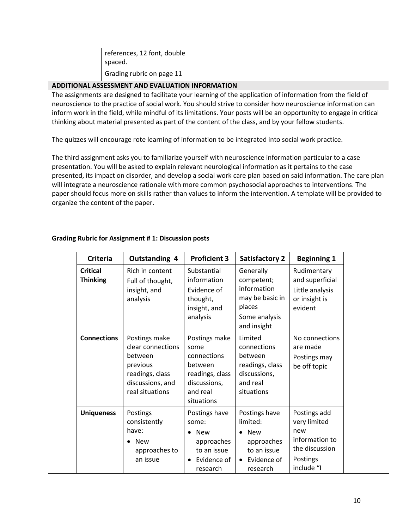| references, 12 font, double |  |  |
|-----------------------------|--|--|
| spaced.                     |  |  |
| Grading rubric on page 11   |  |  |

#### **ADDITIONAL ASSESSMENT AND EVALUATION INFORMATION**

The assignments are designed to facilitate your learning of the application of information from the field of neuroscience to the practice of social work. You should strive to consider how neuroscience information can inform work in the field, while mindful of its limitations. Your posts will be an opportunity to engage in critical thinking about material presented as part of the content of the class, and by your fellow students.

The quizzes will encourage rote learning of information to be integrated into social work practice.

The third assignment asks you to familiarize yourself with neuroscience information particular to a case presentation. You will be asked to explain relevant neurological information as it pertains to the case presented, its impact on disorder, and develop a social work care plan based on said information. The care plan will integrate a neuroscience rationale with more common psychosocial approaches to interventions. The paper should focus more on skills rather than values to inform the intervention. A template will be provided to organize the content of the paper.

| <b>Criteria</b>                    | <b>Outstanding 4</b>                                                                                                | <b>Proficient 3</b>                                                                                          | <b>Satisfactory 2</b>                                                                                                     | <b>Beginning 1</b>                                                                                |
|------------------------------------|---------------------------------------------------------------------------------------------------------------------|--------------------------------------------------------------------------------------------------------------|---------------------------------------------------------------------------------------------------------------------------|---------------------------------------------------------------------------------------------------|
| <b>Critical</b><br><b>Thinking</b> | Rich in content<br>Full of thought,<br>insight, and<br>analysis                                                     | Substantial<br>information<br>Evidence of<br>thought,<br>insight, and<br>analysis                            | Generally<br>competent;<br>information<br>may be basic in<br>places<br>Some analysis<br>and insight                       | Rudimentary<br>and superficial<br>Little analysis<br>or insight is<br>evident                     |
| <b>Connections</b>                 | Postings make<br>clear connections<br>between<br>previous<br>readings, class<br>discussions, and<br>real situations | Postings make<br>some<br>connections<br>between<br>readings, class<br>discussions,<br>and real<br>situations | Limited<br>connections<br>between<br>readings, class<br>discussions,<br>and real<br>situations                            | No connections<br>are made<br>Postings may<br>be off topic                                        |
| <b>Uniqueness</b>                  | Postings<br>consistently<br>have:<br><b>New</b><br>approaches to<br>an issue                                        | Postings have<br>some:<br><b>New</b><br>approaches<br>to an issue<br>Evidence of<br>$\bullet$<br>research    | Postings have<br>limited:<br><b>New</b><br>$\bullet$<br>approaches<br>to an issue<br>Evidence of<br>$\bullet$<br>research | Postings add<br>very limited<br>new<br>information to<br>the discussion<br>Postings<br>include "I |

#### **Grading Rubric for Assignment # 1: Discussion posts**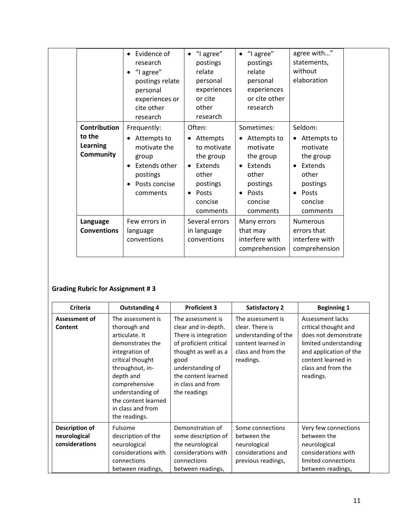|                                                                      | Evidence of<br>$\bullet$<br>research<br>"I agree"<br>postings relate<br>personal<br>experiences or<br>cite other<br>research            | "I agree"<br>$\bullet$<br>postings<br>relate<br>personal<br>experiences<br>or cite<br>other<br>research                                               | "I agree"<br>$\bullet$<br>postings<br>relate<br>personal<br>experiences<br>or cite other<br>research                                              | agree with"<br>statements,<br>without<br>elaboration                                                                                                   |  |
|----------------------------------------------------------------------|-----------------------------------------------------------------------------------------------------------------------------------------|-------------------------------------------------------------------------------------------------------------------------------------------------------|---------------------------------------------------------------------------------------------------------------------------------------------------|--------------------------------------------------------------------------------------------------------------------------------------------------------|--|
| <b>Contribution</b><br>to the<br><b>Learning</b><br><b>Community</b> | Frequently:<br>Attempts to<br>$\bullet$<br>motivate the<br>group<br>Extends other<br>$\bullet$<br>postings<br>Posts concise<br>comments | Often:<br>Attempts<br>$\bullet$<br>to motivate<br>the group<br>Extends<br>$\bullet$<br>other<br>postings<br>Posts<br>$\bullet$<br>concise<br>comments | Sometimes:<br>Attempts to<br>٠<br>motivate<br>the group<br>Extends<br>$\bullet$<br>other<br>postings<br>Posts<br>$\bullet$<br>concise<br>comments | Seldom:<br>Attempts to<br>$\bullet$<br>motivate<br>the group<br>Extends<br>$\bullet$<br>other<br>postings<br>Posts<br>$\bullet$<br>concise<br>comments |  |
| Language<br><b>Conventions</b>                                       | Few errors in<br>language<br>conventions                                                                                                | Several errors<br>in language<br>conventions                                                                                                          | Many errors<br>that may<br>interfere with<br>comprehension                                                                                        | <b>Numerous</b><br>errors that<br>interfere with<br>comprehension                                                                                      |  |

# **Grading Rubric for Assignment # 3**

| Criteria                                         | <b>Outstanding 4</b>                                                                                                                                                                                                                            | <b>Proficient 3</b>                                                                                                                                                                                        | <b>Satisfactory 2</b>                                                                                                 | <b>Beginning 1</b>                                                                                                                                                           |  |
|--------------------------------------------------|-------------------------------------------------------------------------------------------------------------------------------------------------------------------------------------------------------------------------------------------------|------------------------------------------------------------------------------------------------------------------------------------------------------------------------------------------------------------|-----------------------------------------------------------------------------------------------------------------------|------------------------------------------------------------------------------------------------------------------------------------------------------------------------------|--|
| Assessment of<br>Content                         | The assessment is<br>thorough and<br>articulate. It<br>demonstrates the<br>integration of<br>critical thought<br>throughout, in-<br>depth and<br>comprehensive<br>understanding of<br>the content learned<br>in class and from<br>the readings. | The assessment is<br>clear and in-depth.<br>There is integration<br>of proficient critical<br>thought as well as a<br>good<br>understanding of<br>the content learned<br>in class and from<br>the readings | The assessment is<br>clear. There is<br>understanding of the<br>content learned in<br>class and from the<br>readings. | Assessment lacks<br>critical thought and<br>does not demonstrate<br>limited understanding<br>and application of the<br>content learned in<br>class and from the<br>readings. |  |
| Description of<br>neurological<br>considerations | Fulsome<br>description of the<br>neurological<br>considerations with<br>connections<br>between readings,                                                                                                                                        | Demonstration of<br>some description of<br>the neurological<br>considerations with<br>connections<br>between readings,                                                                                     | Some connections<br>between the<br>neurological<br>considerations and<br>previous readings,                           | Very few connections<br>between the<br>neurological<br>considerations with<br>limited connections<br>between readings,                                                       |  |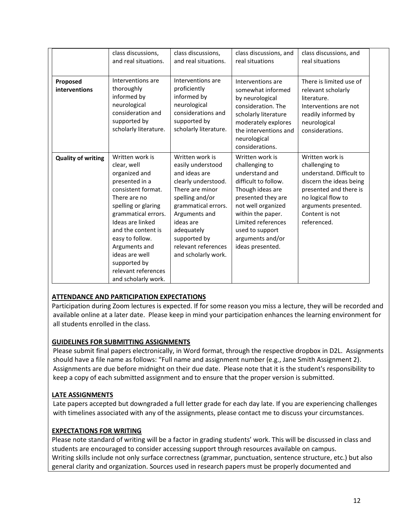|                           | class discussions,<br>and real situations.                                                                                                                                                                                                                                                                          | class discussions,<br>and real situations.                                                                                                                                                                                                          | class discussions, and<br>real situations                                                                                                                                                                                                         | class discussions, and<br>real situations                                                                                                                                                         |
|---------------------------|---------------------------------------------------------------------------------------------------------------------------------------------------------------------------------------------------------------------------------------------------------------------------------------------------------------------|-----------------------------------------------------------------------------------------------------------------------------------------------------------------------------------------------------------------------------------------------------|---------------------------------------------------------------------------------------------------------------------------------------------------------------------------------------------------------------------------------------------------|---------------------------------------------------------------------------------------------------------------------------------------------------------------------------------------------------|
| Proposed<br>interventions | Interventions are<br>thoroughly<br>informed by<br>neurological<br>consideration and<br>supported by<br>scholarly literature.                                                                                                                                                                                        | Interventions are<br>proficiently<br>informed by<br>neurological<br>considerations and<br>supported by<br>scholarly literature.                                                                                                                     | Interventions are<br>somewhat informed<br>by neurological<br>consideration. The<br>scholarly literature<br>moderately explores<br>the interventions and<br>neurological<br>considerations.                                                        | There is limited use of<br>relevant scholarly<br>literature.<br>Interventions are not<br>readily informed by<br>neurological<br>considerations.                                                   |
| <b>Quality of writing</b> | Written work is<br>clear, well<br>organized and<br>presented in a<br>consistent format.<br>There are no<br>spelling or glaring<br>grammatical errors.<br>Ideas are linked<br>and the content is<br>easy to follow.<br>Arguments and<br>ideas are well<br>supported by<br>relevant references<br>and scholarly work. | Written work is<br>easily understood<br>and ideas are<br>clearly understood.<br>There are minor<br>spelling and/or<br>grammatical errors.<br>Arguments and<br>ideas are<br>adequately<br>supported by<br>relevant references<br>and scholarly work. | Written work is<br>challenging to<br>understand and<br>difficult to follow.<br>Though ideas are<br>presented they are<br>not well organized<br>within the paper.<br>Limited references<br>used to support<br>arguments and/or<br>ideas presented. | Written work is<br>challenging to<br>understand. Difficult to<br>discern the ideas being<br>presented and there is<br>no logical flow to<br>arguments presented.<br>Content is not<br>referenced. |

# **ATTENDANCE AND PARTICIPATION EXPECTATIONS**

Participation during Zoom lectures is expected. If for some reason you miss a lecture, they will be recorded and available online at a later date. Please keep in mind your participation enhances the learning environment for all students enrolled in the class.

# **GUIDELINES FOR SUBMITTING ASSIGNMENTS**

Please submit final papers electronically, in Word format, through the respective dropbox in D2L. Assignments should have a file name as follows: "Full name and assignment number (e.g., Jane Smith Assignment 2). Assignments are due before midnight on their due date. Please note that it is the student's responsibility to keep a copy of each submitted assignment and to ensure that the proper version is submitted.

# **LATE ASSIGNMENTS**

Late papers accepted but downgraded a full letter grade for each day late. If you are experiencing challenges with timelines associated with any of the assignments, please contact me to discuss your circumstances.

#### **EXPECTATIONS FOR WRITING**

Please note standard of writing will be a factor in grading students' work. This will be discussed in class and students are encouraged to consider accessing support through resources available on campus. Writing skills include not only surface correctness (grammar, punctuation, sentence structure, etc.) but also general clarity and organization. Sources used in research papers must be properly documented and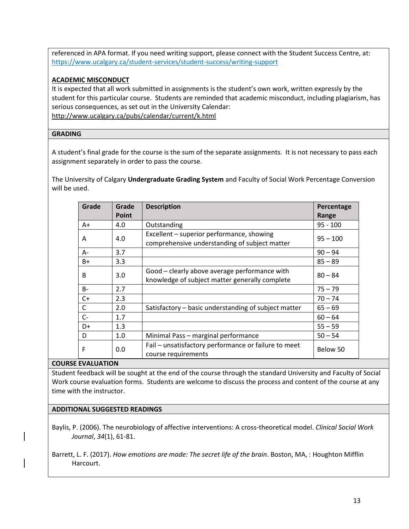referenced in APA format. If you need writing support, please connect with the Student Success Centre, at: <https://www.ucalgary.ca/student-services/student-success/writing-support>

# **ACADEMIC MISCONDUCT**

It is expected that all work submitted in assignments is the student's own work, written expressly by the student for this particular course. Students are reminded that academic misconduct, including plagiarism, has serious consequences, as set out in the University Calendar: <http://www.ucalgary.ca/pubs/calendar/current/k.html>

#### **GRADING**

A student's final grade for the course is the sum of the separate assignments. It is not necessary to pass each assignment separately in order to pass the course.

The University of Calgary **Undergraduate Grading System** and Faculty of Social Work Percentage Conversion will be used.

| Grade        | Grade | <b>Description</b>                                                                              | Percentage |
|--------------|-------|-------------------------------------------------------------------------------------------------|------------|
|              | Point |                                                                                                 | Range      |
| $A+$         | 4.0   | Outstanding                                                                                     | $95 - 100$ |
| Α            | 4.0   | Excellent - superior performance, showing<br>comprehensive understanding of subject matter      | $95 - 100$ |
| $A -$        | 3.7   |                                                                                                 | $90 - 94$  |
| $B+$         | 3.3   |                                                                                                 | $85 - 89$  |
| B            | 3.0   | Good - clearly above average performance with<br>knowledge of subject matter generally complete | $80 - 84$  |
| $B -$        | 2.7   |                                                                                                 | $75 - 79$  |
| $C+$         | 2.3   |                                                                                                 | $70 - 74$  |
| $\mathsf{C}$ | 2.0   | Satisfactory - basic understanding of subject matter                                            | $65 - 69$  |
| $C -$        | 1.7   |                                                                                                 | $60 - 64$  |
| $D+$         | 1.3   |                                                                                                 | $55 - 59$  |
| D            | 1.0   | Minimal Pass - marginal performance                                                             | $50 - 54$  |
| F            | 0.0   | Fail - unsatisfactory performance or failure to meet<br>course requirements                     | Below 50   |

#### **COURSE EVALUATION**

Student feedback will be sought at the end of the course through the standard University and Faculty of Social Work course evaluation forms. Students are welcome to discuss the process and content of the course at any time with the instructor.

# **ADDITIONAL SUGGESTED READINGS**

Baylis, P. (2006). The neurobiology of affective interventions: A cross-theoretical model. *Clinical Social Work Journal*, *34*(1), 61-81.

Barrett, L. F. (2017). *How emotions are made: The secret life of the brain*. Boston, MA, : Houghton Mifflin Harcourt.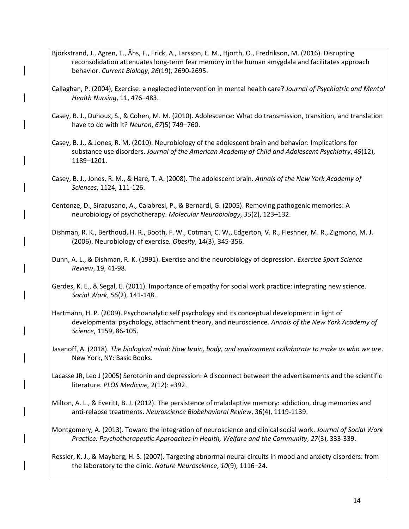Björkstrand, J., Agren, T., Åhs, F., Frick, A., Larsson, E. M., Hjorth, O., Fredrikson, M. (2016). Disrupting reconsolidation attenuates long-term fear memory in the human amygdala and facilitates approach behavior. *Current Biology*, *26*(19), 2690-2695.

Callaghan, P. (2004), Exercise: a neglected intervention in mental health care? *Journal of Psychiatric and Mental Health Nursing*, 11, 476–483.

Casey, B. J., Duhoux, S., & Cohen, M. M. (2010). Adolescence: What do transmission, transition, and translation have to do with it? *Neuron*, *67*(5) 749–760.

Casey, B. J., & Jones, R. M. (2010). Neurobiology of the adolescent brain and behavior: Implications for substance use disorders. *Journal of the American Academy of Child and Adolescent Psychiatry*, *49*(12), 1189–1201.

Casey, B. J., Jones, R. M., & Hare, T. A. (2008). The adolescent brain. *Annals of the New York Academy of Sciences*, 1124, 111-126.

Centonze, D., Siracusano, A., Calabresi, P., & Bernardi, G. (2005). Removing pathogenic memories: A neurobiology of psychotherapy. *Molecular Neurobiology*, *35*(2), 123–132.

Dishman, R. K., Berthoud, H. R., Booth, F. W., Cotman, C. W., Edgerton, V. R., Fleshner, M. R., Zigmond, M. J. (2006). Neurobiology of exercise*. Obesity*, 14(3), 345-356.

Dunn, A. L., & Dishman, R. K. (1991). Exercise and the neurobiology of depression. *Exercise Sport Science Review*, 19, 41-98.

Gerdes, K. E., & Segal, E. (2011). Importance of empathy for social work practice: integrating new science. *Social Work*, *56*(2), 141-148.

Hartmann, H. P. (2009). Psychoanalytic self psychology and its conceptual development in light of developmental psychology, attachment theory, and neuroscience. *Annals of the New York Academy of Science*, 1159, 86-105.

Jasanoff, A. (2018). *The biological mind: How brain, body, and environment collaborate to make us who we are*. New York, NY: Basic Books.

Lacasse JR, Leo J (2005) Serotonin and depression: A disconnect between the advertisements and the scientific literature*. PLOS Medicine,* 2(12): e392.

Milton, A. L., & Everitt, B. J. (2012). The persistence of maladaptive memory: addiction, drug memories and anti-relapse treatments. *Neuroscience Biobehavioral Review*, 36(4), 1119-1139.

Montgomery, A. (2013). Toward the integration of neuroscience and clinical social work. *Journal of Social Work Practice: Psychotherapeutic Approaches in Health, Welfare and the Community*, *27*(3), 333-339.

Ressler, K. J., & Mayberg, H. S. (2007). Targeting abnormal neural circuits in mood and anxiety disorders: from the laboratory to the clinic. *Nature Neuroscience*, *10*(9), 1116–24.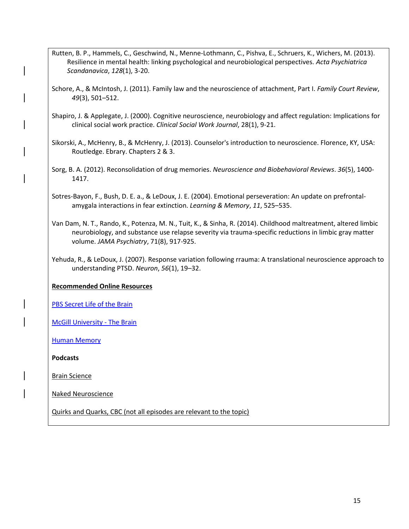- Rutten, B. P., Hammels, C., Geschwind, N., Menne-Lothmann, C., Pishva, E., Schruers, K., Wichers, M. (2013). Resilience in mental health: linking psychological and neurobiological perspectives. *Acta Psychiatrica Scandanavica*, *128*(1), 3-20.
- Schore, A., & McIntosh, J. (2011). Family law and the neuroscience of attachment, Part I. *Family Court Review*, *49*(3), 501–512.
- Shapiro, J. & Applegate, J. (2000). Cognitive neuroscience, neurobiology and affect regulation: Implications for clinical social work practice. *Clinical Social Work Journal*, 28(1), 9-21.
- Sikorski, A., McHenry, B., & McHenry, J. (2013). Counselor's introduction to neuroscience. Florence, KY, USA: Routledge. Ebrary. Chapters 2 & 3.
- Sorg, B. A. (2012). Reconsolidation of drug memories. *Neuroscience and Biobehavioral Reviews*. *36*(5), 1400- 1417.
- Sotres-Bayon, F., Bush, D. E. a., & LeDoux, J. E. (2004). Emotional perseveration: An update on prefrontalamygala interactions in fear extinction. *Learning & Memory*, *11*, 525–535.
- Van Dam, N. T., Rando, K., Potenza, M. N., Tuit, K., & Sinha, R. (2014). Childhood maltreatment, altered limbic neurobiology, and substance use relapse severity via trauma-specific reductions in limbic gray matter volume. *JAMA Psychiatry*, 71(8), 917-925.
- Yehuda, R., & LeDoux, J. (2007). Response variation following rrauma: A translational neuroscience approach to understanding PTSD. *Neuron*, *56*(1), 19–32.

# **Recommended Online Resources**

[PBS Secret Life of the Brain](http://www.pbs.org/wnet/brain/index.html) 

[McGill University -](http://thebrain.mcgill.ca/) The Brain

**[Human Memory](http://www.human-memory.net/brain.html)** 

**Podcasts**

Brain Science

Naked Neuroscience

Quirks and Quarks, CBC (not all episodes are relevant to the topic)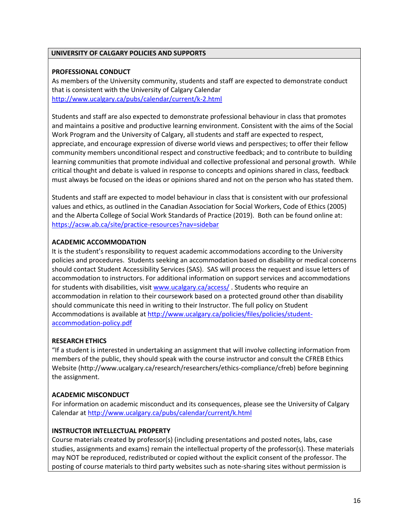#### **UNIVERSITY OF CALGARY POLICIES AND SUPPORTS**

#### **PROFESSIONAL CONDUCT**

As members of the University community, students and staff are expected to demonstrate conduct that is consistent with the University of Calgary Calendar <http://www.ucalgary.ca/pubs/calendar/current/k-2.html>

Students and staff are also expected to demonstrate professional behaviour in class that promotes and maintains a positive and productive learning environment. Consistent with the aims of the Social Work Program and the University of Calgary, all students and staff are expected to respect, appreciate, and encourage expression of diverse world views and perspectives; to offer their fellow community members unconditional respect and constructive feedback; and to contribute to building learning communities that promote individual and collective professional and personal growth. While critical thought and debate is valued in response to concepts and opinions shared in class, feedback must always be focused on the ideas or opinions shared and not on the person who has stated them.

Students and staff are expected to model behaviour in class that is consistent with our professional values and ethics, as outlined in the Canadian Association for Social Workers, Code of Ethics (2005) and the Alberta College of Social Work Standards of Practice (2019). Both can be found online at: <https://acsw.ab.ca/site/practice-resources?nav=sidebar>

# **ACADEMIC ACCOMMODATION**

It is the student's responsibility to request academic accommodations according to the University policies and procedures. Students seeking an accommodation based on disability or medical concerns should contact Student Accessibility Services (SAS). SAS will process the request and issue letters of accommodation to instructors. For additional information on support services and accommodations for students with disabilities, visi[t www.ucalgary.ca/access/](http://www.ucalgary.ca/access/) . Students who require an accommodation in relation to their coursework based on a protected ground other than disability should communicate this need in writing to their Instructor. The full policy on Student Accommodations is available at [http://www.ucalgary.ca/policies/files/policies/student](http://www.ucalgary.ca/policies/files/policies/student-accommodation-policy.pdf)[accommodation-policy.pdf](http://www.ucalgary.ca/policies/files/policies/student-accommodation-policy.pdf)

# **RESEARCH ETHICS**

"If a student is interested in undertaking an assignment that will involve collecting information from members of the public, they should speak with the course instructor and consult the CFREB Ethics Website [\(http://www.ucalgary.ca/research/researchers/ethics-compliance/cfreb\)](http://www.ucalgary.ca/research/researchers/ethics-compliance/cfreb) before beginning the assignment.

# **ACADEMIC MISCONDUCT**

For information on academic misconduct and its consequences, please see the University of Calgary Calendar a[t http://www.ucalgary.ca/pubs/calendar/current/k.html](http://www.ucalgary.ca/pubs/calendar/current/k.html)

#### **INSTRUCTOR INTELLECTUAL PROPERTY**

Course materials created by professor(s) (including presentations and posted notes, labs, case studies, assignments and exams) remain the intellectual property of the professor(s). These materials may NOT be reproduced, redistributed or copied without the explicit consent of the professor. The posting of course materials to third party websites such as note-sharing sites without permission is